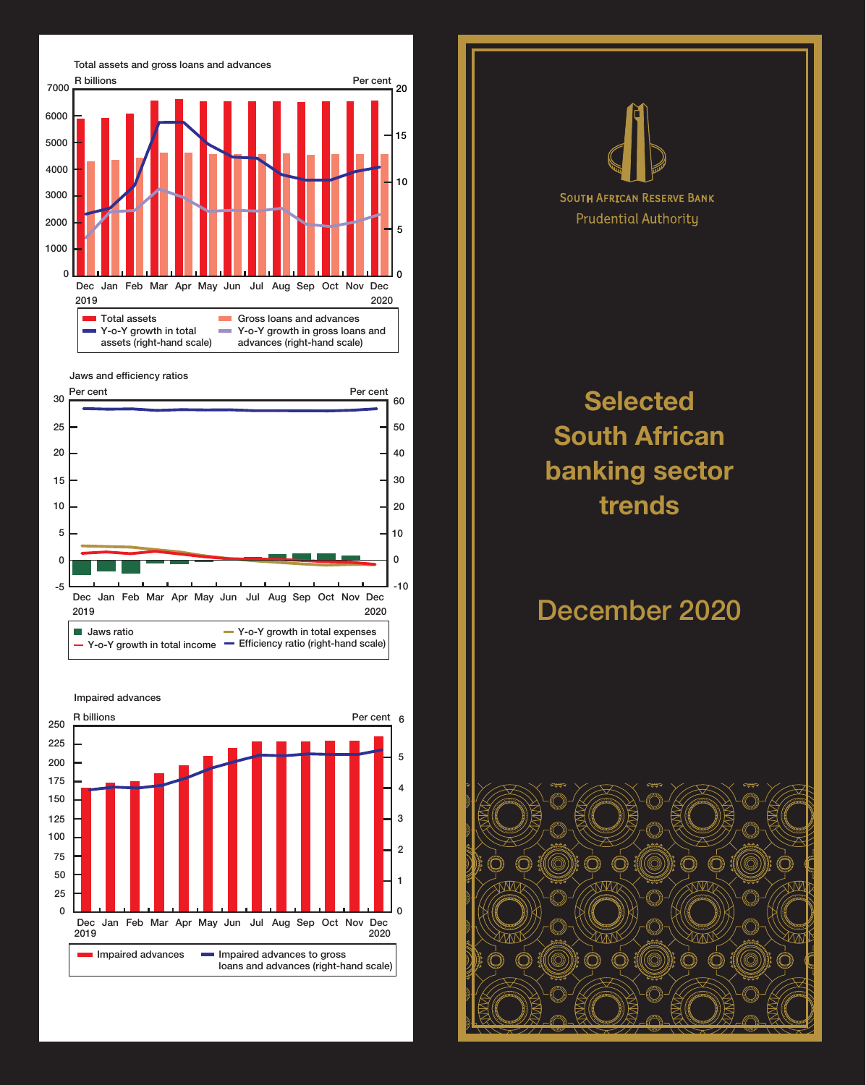